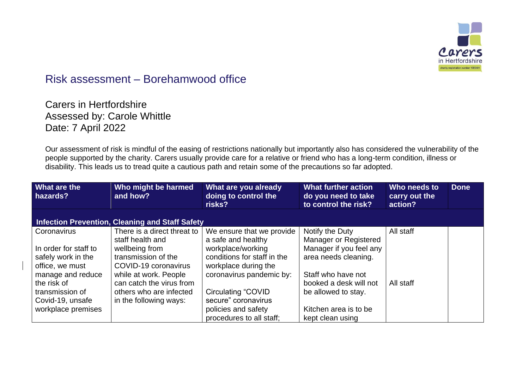

## Risk assessment – Borehamwood office

Carers in Hertfordshire Assessed by: Carole Whittle Date: 7 April 2022

Our assessment of risk is mindful of the easing of restrictions nationally but importantly also has considered the vulnerability of the people supported by the charity. Carers usually provide care for a relative or friend who has a long-term condition, illness or disability. This leads us to tread quite a cautious path and retain some of the precautions so far adopted.

| What are the<br>hazards? | Who might be harmed<br>and how?                        | What are you already<br>doing to control the<br>risks? | <b>What further action</b><br>do you need to take<br>to control the risk? | Who needs to<br>carry out the<br>action? | <b>Done</b> |
|--------------------------|--------------------------------------------------------|--------------------------------------------------------|---------------------------------------------------------------------------|------------------------------------------|-------------|
|                          | <b>Infection Prevention, Cleaning and Staff Safety</b> |                                                        |                                                                           |                                          |             |
| Coronavirus              | There is a direct threat to                            | We ensure that we provide                              | Notify the Duty                                                           | All staff                                |             |
|                          | staff health and                                       | a safe and healthy                                     | Manager or Registered                                                     |                                          |             |
| In order for staff to    | wellbeing from                                         | workplace/working                                      | Manager if you feel any                                                   |                                          |             |
| safely work in the       | transmission of the                                    | conditions for staff in the                            | area needs cleaning.                                                      |                                          |             |
| office, we must          | COVID-19 coronavirus                                   | workplace during the                                   |                                                                           |                                          |             |
| manage and reduce        | while at work. People                                  | coronavirus pandemic by:                               | Staff who have not                                                        |                                          |             |
| the risk of              | can catch the virus from                               |                                                        | booked a desk will not                                                    | All staff                                |             |
| transmission of          | others who are infected                                | Circulating "COVID                                     | be allowed to stay.                                                       |                                          |             |
| Covid-19, unsafe         | in the following ways:                                 | secure" coronavirus                                    |                                                                           |                                          |             |
| workplace premises       |                                                        | policies and safety                                    | Kitchen area is to be                                                     |                                          |             |
|                          |                                                        | procedures to all staff;                               | kept clean using                                                          |                                          |             |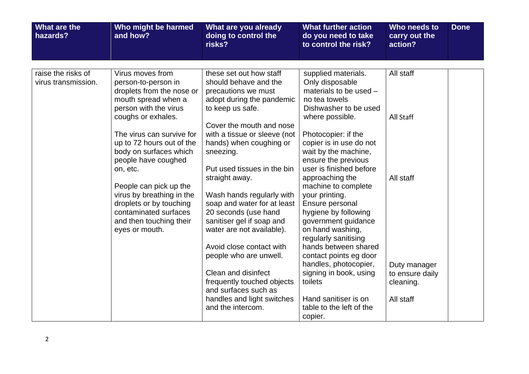| What are the<br>hazards?                  | Who might be harmed<br>and how?                                                                                                                                         | What are you already<br>doing to control the<br>risks?                                                                                                                                   | <b>What further action</b><br>do you need to take<br>to control the risk?                                                                                                                      | Who needs to<br>carry out the<br>action?                  | <b>Done</b> |
|-------------------------------------------|-------------------------------------------------------------------------------------------------------------------------------------------------------------------------|------------------------------------------------------------------------------------------------------------------------------------------------------------------------------------------|------------------------------------------------------------------------------------------------------------------------------------------------------------------------------------------------|-----------------------------------------------------------|-------------|
|                                           |                                                                                                                                                                         |                                                                                                                                                                                          |                                                                                                                                                                                                |                                                           |             |
| raise the risks of<br>virus transmission. | Virus moves from<br>person-to-person in<br>droplets from the nose or<br>mouth spread when a<br>person with the virus<br>coughs or exhales.<br>The virus can survive for | these set out how staff<br>should behave and the<br>precautions we must<br>adopt during the pandemic<br>to keep us safe.<br>Cover the mouth and nose<br>with a tissue or sleeve (not     | supplied materials.<br>Only disposable<br>materials to be used -<br>no tea towels<br>Dishwasher to be used<br>where possible.<br>Photocopier: if the                                           | All staff<br>All Staff                                    |             |
|                                           | up to 72 hours out of the<br>body on surfaces which<br>people have coughed<br>on, etc.                                                                                  | hands) when coughing or<br>sneezing.<br>Put used tissues in the bin                                                                                                                      | copier is in use do not<br>wait by the machine,<br>ensure the previous<br>user is finished before                                                                                              |                                                           |             |
|                                           | People can pick up the<br>virus by breathing in the<br>droplets or by touching<br>contaminated surfaces<br>and then touching their<br>eyes or mouth.                    | straight away.<br>Wash hands regularly with<br>soap and water for at least<br>20 seconds (use hand<br>sanitiser gel if soap and<br>water are not available).<br>Avoid close contact with | approaching the<br>machine to complete<br>your printing.<br>Ensure personal<br>hygiene by following<br>government guidance<br>on hand washing,<br>regularly sanitising<br>hands between shared | All staff                                                 |             |
|                                           |                                                                                                                                                                         | people who are unwell.<br>Clean and disinfect<br>frequently touched objects<br>and surfaces such as<br>handles and light switches                                                        | contact points eg door<br>handles, photocopier,<br>signing in book, using<br>toilets<br>Hand sanitiser is on                                                                                   | Duty manager<br>to ensure daily<br>cleaning.<br>All staff |             |
|                                           |                                                                                                                                                                         | and the intercom.                                                                                                                                                                        | table to the left of the<br>copier.                                                                                                                                                            |                                                           |             |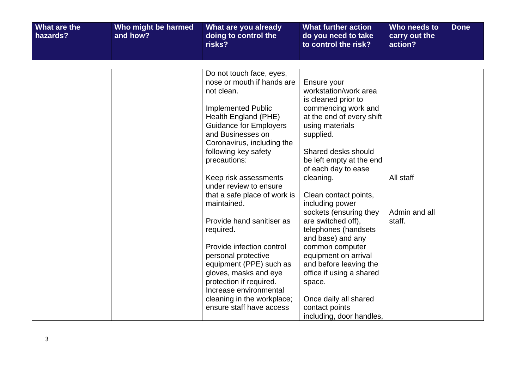| What are the<br>hazards? | Who might be harmed<br>and how? | What are you already<br>doing to control the<br>risks?                                                                                                                                                                                                | <b>What further action</b><br>do you need to take<br>to control the risk?                                                                                                                          | Who needs to<br>carry out the<br>action? | <b>Done</b> |
|--------------------------|---------------------------------|-------------------------------------------------------------------------------------------------------------------------------------------------------------------------------------------------------------------------------------------------------|----------------------------------------------------------------------------------------------------------------------------------------------------------------------------------------------------|------------------------------------------|-------------|
|                          |                                 |                                                                                                                                                                                                                                                       |                                                                                                                                                                                                    |                                          |             |
|                          |                                 | Do not touch face, eyes,<br>nose or mouth if hands are<br>not clean.<br><b>Implemented Public</b><br>Health England (PHE)<br><b>Guidance for Employers</b><br>and Businesses on<br>Coronavirus, including the<br>following key safety<br>precautions: | Ensure your<br>workstation/work area<br>is cleaned prior to<br>commencing work and<br>at the end of every shift<br>using materials<br>supplied.<br>Shared desks should<br>be left empty at the end |                                          |             |
|                          |                                 | Keep risk assessments<br>under review to ensure                                                                                                                                                                                                       | of each day to ease<br>cleaning.                                                                                                                                                                   | All staff                                |             |
|                          |                                 | that a safe place of work is<br>maintained.                                                                                                                                                                                                           | Clean contact points,<br>including power<br>sockets (ensuring they                                                                                                                                 | Admin and all                            |             |
|                          |                                 | Provide hand sanitiser as<br>required.                                                                                                                                                                                                                | are switched off),<br>telephones (handsets<br>and base) and any                                                                                                                                    | staff.                                   |             |
|                          |                                 | Provide infection control<br>personal protective<br>equipment (PPE) such as<br>gloves, masks and eye<br>protection if required.                                                                                                                       | common computer<br>equipment on arrival<br>and before leaving the<br>office if using a shared<br>space.                                                                                            |                                          |             |
|                          |                                 | Increase environmental<br>cleaning in the workplace;<br>ensure staff have access                                                                                                                                                                      | Once daily all shared<br>contact points<br>including, door handles,                                                                                                                                |                                          |             |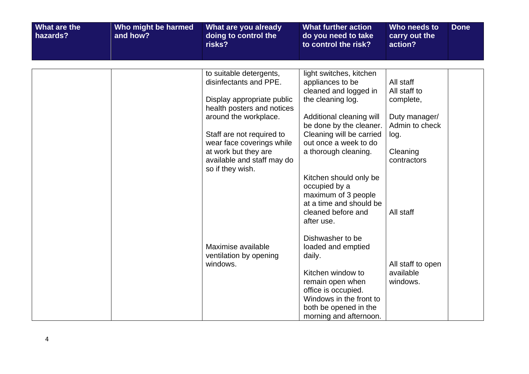| What are the<br>hazards? | Who might be harmed<br>and how? | What are you already<br>doing to control the<br>risks?                                                                                                                                           | <b>What further action</b><br>do you need to take<br>to control the risk?                                                                                                                             | Who needs to<br>carry out the<br>action?                                          | <b>Done</b> |
|--------------------------|---------------------------------|--------------------------------------------------------------------------------------------------------------------------------------------------------------------------------------------------|-------------------------------------------------------------------------------------------------------------------------------------------------------------------------------------------------------|-----------------------------------------------------------------------------------|-------------|
|                          |                                 |                                                                                                                                                                                                  |                                                                                                                                                                                                       |                                                                                   |             |
|                          |                                 | to suitable detergents,<br>disinfectants and PPE.<br>Display appropriate public<br>health posters and notices<br>around the workplace.<br>Staff are not required to<br>wear face coverings while | light switches, kitchen<br>appliances to be<br>cleaned and logged in<br>the cleaning log.<br>Additional cleaning will<br>be done by the cleaner.<br>Cleaning will be carried<br>out once a week to do | All staff<br>All staff to<br>complete,<br>Duty manager/<br>Admin to check<br>log. |             |
|                          |                                 | at work but they are<br>available and staff may do<br>so if they wish.                                                                                                                           | a thorough cleaning.<br>Kitchen should only be<br>occupied by a<br>maximum of 3 people<br>at a time and should be<br>cleaned before and<br>after use.<br>Dishwasher to be                             | Cleaning<br>contractors<br>All staff                                              |             |
|                          |                                 | Maximise available<br>ventilation by opening<br>windows.                                                                                                                                         | loaded and emptied<br>daily.<br>Kitchen window to<br>remain open when<br>office is occupied.<br>Windows in the front to<br>both be opened in the<br>morning and afternoon.                            | All staff to open<br>available<br>windows.                                        |             |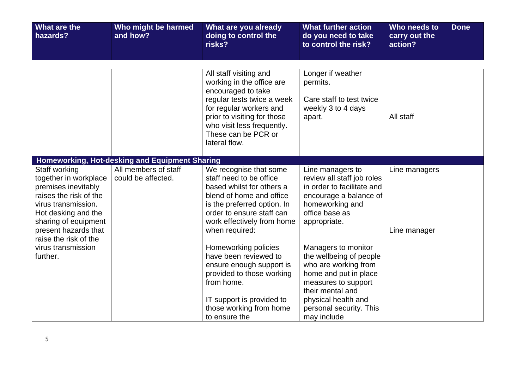| What are the<br>hazards?                                                                                                                                                                                       | Who might be harmed<br>and how?                | What are you already<br>doing to control the<br>risks?                                                                                                                                                                 | <b>What further action</b><br>do you need to take<br>to control the risk?                                                                                                                                   | Who needs to<br>carry out the<br>action? | <b>Done</b> |
|----------------------------------------------------------------------------------------------------------------------------------------------------------------------------------------------------------------|------------------------------------------------|------------------------------------------------------------------------------------------------------------------------------------------------------------------------------------------------------------------------|-------------------------------------------------------------------------------------------------------------------------------------------------------------------------------------------------------------|------------------------------------------|-------------|
|                                                                                                                                                                                                                |                                                | All staff visiting and                                                                                                                                                                                                 | Longer if weather                                                                                                                                                                                           |                                          |             |
|                                                                                                                                                                                                                |                                                | working in the office are<br>encouraged to take<br>regular tests twice a week<br>for regular workers and<br>prior to visiting for those<br>who visit less frequently.<br>These can be PCR or<br>lateral flow.          | permits.<br>Care staff to test twice<br>weekly 3 to 4 days<br>apart.                                                                                                                                        | All staff                                |             |
|                                                                                                                                                                                                                | Homeworking, Hot-desking and Equipment Sharing |                                                                                                                                                                                                                        |                                                                                                                                                                                                             |                                          |             |
| Staff working<br>together in workplace<br>premises inevitably<br>raises the risk of the<br>virus transmission.<br>Hot desking and the<br>sharing of equipment<br>present hazards that<br>raise the risk of the | All members of staff<br>could be affected.     | We recognise that some<br>staff need to be office<br>based whilst for others a<br>blend of home and office<br>is the preferred option. In<br>order to ensure staff can<br>work effectively from home<br>when required: | Line managers to<br>review all staff job roles<br>in order to facilitate and<br>encourage a balance of<br>homeworking and<br>office base as<br>appropriate.                                                 | Line managers<br>Line manager            |             |
| virus transmission<br>further.                                                                                                                                                                                 |                                                | Homeworking policies<br>have been reviewed to<br>ensure enough support is<br>provided to those working<br>from home.<br>IT support is provided to<br>those working from home<br>to ensure the                          | Managers to monitor<br>the wellbeing of people<br>who are working from<br>home and put in place<br>measures to support<br>their mental and<br>physical health and<br>personal security. This<br>may include |                                          |             |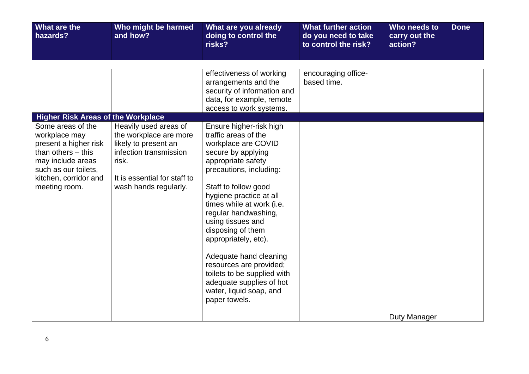| What are the<br>hazards?                                                                                                                                                   | Who might be harmed<br>and how?                                                                                                                                     | What are you already<br>doing to control the<br>risks?                                                                                                                                                                                                                                                                                                                                                                                                                              | <b>What further action</b><br>do you need to take<br>to control the risk? | Who needs to<br>carry out the<br>action? | <b>Done</b> |
|----------------------------------------------------------------------------------------------------------------------------------------------------------------------------|---------------------------------------------------------------------------------------------------------------------------------------------------------------------|-------------------------------------------------------------------------------------------------------------------------------------------------------------------------------------------------------------------------------------------------------------------------------------------------------------------------------------------------------------------------------------------------------------------------------------------------------------------------------------|---------------------------------------------------------------------------|------------------------------------------|-------------|
|                                                                                                                                                                            |                                                                                                                                                                     |                                                                                                                                                                                                                                                                                                                                                                                                                                                                                     |                                                                           |                                          |             |
|                                                                                                                                                                            |                                                                                                                                                                     | effectiveness of working<br>arrangements and the<br>security of information and<br>data, for example, remote<br>access to work systems.                                                                                                                                                                                                                                                                                                                                             | encouraging office-<br>based time.                                        |                                          |             |
| <b>Higher Risk Areas of the Workplace</b>                                                                                                                                  |                                                                                                                                                                     |                                                                                                                                                                                                                                                                                                                                                                                                                                                                                     |                                                                           |                                          |             |
| Some areas of the<br>workplace may<br>present a higher risk<br>than others $-$ this<br>may include areas<br>such as our toilets,<br>kitchen, corridor and<br>meeting room. | Heavily used areas of<br>the workplace are more<br>likely to present an<br>infection transmission<br>risk.<br>It is essential for staff to<br>wash hands regularly. | Ensure higher-risk high<br>traffic areas of the<br>workplace are COVID<br>secure by applying<br>appropriate safety<br>precautions, including:<br>Staff to follow good<br>hygiene practice at all<br>times while at work (i.e.<br>regular handwashing,<br>using tissues and<br>disposing of them<br>appropriately, etc).<br>Adequate hand cleaning<br>resources are provided;<br>toilets to be supplied with<br>adequate supplies of hot<br>water, liquid soap, and<br>paper towels. |                                                                           |                                          |             |
|                                                                                                                                                                            |                                                                                                                                                                     |                                                                                                                                                                                                                                                                                                                                                                                                                                                                                     |                                                                           | Duty Manager                             |             |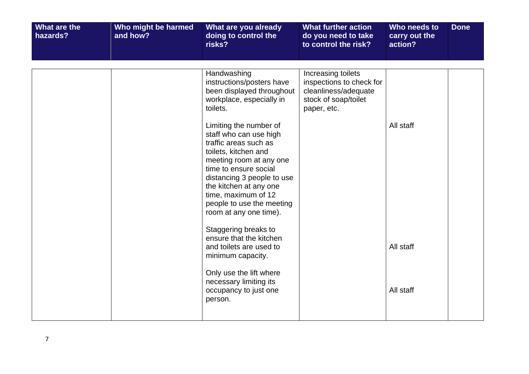| What are the<br>hazards? | Who might be harmed<br>and how? | What are you already<br>doing to control the<br>risks?                                                                                                                                                                                                                                                                                                                                                       | <b>What further action</b><br>do you need to take<br>to control the risk?                                     | Who needs to<br>carry out the<br>action? | <b>Done</b> |
|--------------------------|---------------------------------|--------------------------------------------------------------------------------------------------------------------------------------------------------------------------------------------------------------------------------------------------------------------------------------------------------------------------------------------------------------------------------------------------------------|---------------------------------------------------------------------------------------------------------------|------------------------------------------|-------------|
|                          |                                 | Handwashing<br>instructions/posters have<br>been displayed throughout<br>workplace, especially in<br>toilets.<br>Limiting the number of<br>staff who can use high<br>traffic areas such as<br>toilets, kitchen and<br>meeting room at any one<br>time to ensure social<br>distancing 3 people to use<br>the kitchen at any one<br>time, maximum of 12<br>people to use the meeting<br>room at any one time). | Increasing toilets<br>inspections to check for<br>cleanliness/adequate<br>stock of soap/toilet<br>paper, etc. | All staff                                |             |
|                          |                                 | Staggering breaks to<br>ensure that the kitchen<br>and toilets are used to<br>minimum capacity.<br>Only use the lift where<br>necessary limiting its<br>occupancy to just one<br>person.                                                                                                                                                                                                                     |                                                                                                               | All staff<br>All staff                   |             |
|                          |                                 |                                                                                                                                                                                                                                                                                                                                                                                                              |                                                                                                               |                                          |             |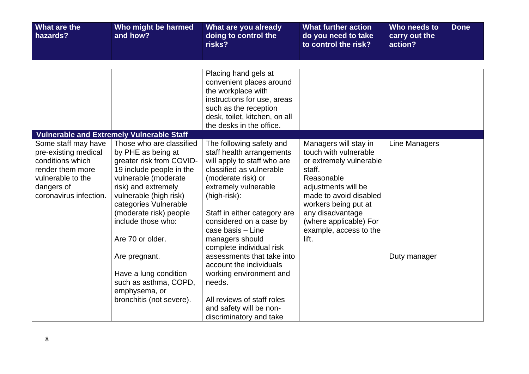| What are the<br>hazards?                                                                                                                         | Who might be harmed<br>and how?                                                                                                                                                                                                                                                                                                                                                              | What are you already<br>doing to control the<br>risks?                                                                                                                                                                                                                                                                                                                                                                                                                                          | <b>What further action</b><br>do you need to take<br>to control the risk?                                                                                                                                                                                   | Who needs to<br>carry out the<br>action? | <b>Done</b> |
|--------------------------------------------------------------------------------------------------------------------------------------------------|----------------------------------------------------------------------------------------------------------------------------------------------------------------------------------------------------------------------------------------------------------------------------------------------------------------------------------------------------------------------------------------------|-------------------------------------------------------------------------------------------------------------------------------------------------------------------------------------------------------------------------------------------------------------------------------------------------------------------------------------------------------------------------------------------------------------------------------------------------------------------------------------------------|-------------------------------------------------------------------------------------------------------------------------------------------------------------------------------------------------------------------------------------------------------------|------------------------------------------|-------------|
|                                                                                                                                                  |                                                                                                                                                                                                                                                                                                                                                                                              | Placing hand gels at<br>convenient places around<br>the workplace with                                                                                                                                                                                                                                                                                                                                                                                                                          |                                                                                                                                                                                                                                                             |                                          |             |
|                                                                                                                                                  |                                                                                                                                                                                                                                                                                                                                                                                              | instructions for use, areas<br>such as the reception<br>desk, toilet, kitchen, on all<br>the desks in the office.                                                                                                                                                                                                                                                                                                                                                                               |                                                                                                                                                                                                                                                             |                                          |             |
|                                                                                                                                                  | <b>Vulnerable and Extremely Vulnerable Staff</b>                                                                                                                                                                                                                                                                                                                                             |                                                                                                                                                                                                                                                                                                                                                                                                                                                                                                 |                                                                                                                                                                                                                                                             |                                          |             |
| Some staff may have<br>pre-existing medical<br>conditions which<br>render them more<br>vulnerable to the<br>dangers of<br>coronavirus infection. | Those who are classified<br>by PHE as being at<br>greater risk from COVID-<br>19 include people in the<br>vulnerable (moderate<br>risk) and extremely<br>vulnerable (high risk)<br>categories Vulnerable<br>(moderate risk) people<br>include those who:<br>Are 70 or older.<br>Are pregnant.<br>Have a lung condition<br>such as asthma, COPD,<br>emphysema, or<br>bronchitis (not severe). | The following safety and<br>staff health arrangements<br>will apply to staff who are<br>classified as vulnerable<br>(moderate risk) or<br>extremely vulnerable<br>(high-risk):<br>Staff in either category are<br>considered on a case by<br>case basis - Line<br>managers should<br>complete individual risk<br>assessments that take into<br>account the individuals<br>working environment and<br>needs.<br>All reviews of staff roles<br>and safety will be non-<br>discriminatory and take | Managers will stay in<br>touch with vulnerable<br>or extremely vulnerable<br>staff.<br>Reasonable<br>adjustments will be<br>made to avoid disabled<br>workers being put at<br>any disadvantage<br>(where applicable) For<br>example, access to the<br>lift. | Line Managers<br>Duty manager            |             |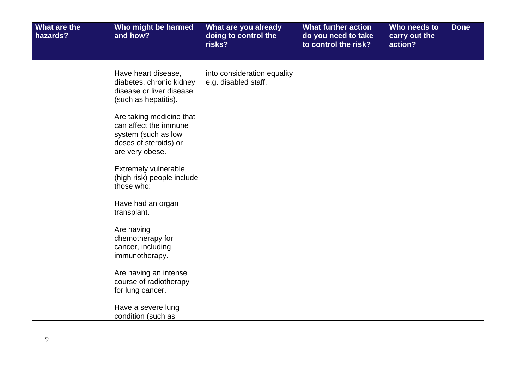| Have heart disease,<br>into consideration equality<br>e.g. disabled staff.<br>diabetes, chronic kidney<br>disease or liver disease<br>(such as hepatitis).<br>Are taking medicine that<br>can affect the immune<br>system (such as low<br>doses of steroids) or<br>are very obese.<br>Extremely vulnerable<br>(high risk) people include<br>those who:<br>Have had an organ<br>transplant.<br>Are having<br>chemotherapy for<br>cancer, including<br>immunotherapy.<br>Are having an intense<br>course of radiotherapy<br>for lung cancer.<br>Have a severe lung | What are the<br>hazards? | Who might be harmed<br>and how? | What are you already<br>doing to control the<br>risks? | <b>What further action</b><br>do you need to take<br>to control the risk? | Who needs to<br>carry out the<br>action? | <b>Done</b> |
|------------------------------------------------------------------------------------------------------------------------------------------------------------------------------------------------------------------------------------------------------------------------------------------------------------------------------------------------------------------------------------------------------------------------------------------------------------------------------------------------------------------------------------------------------------------|--------------------------|---------------------------------|--------------------------------------------------------|---------------------------------------------------------------------------|------------------------------------------|-------------|
|                                                                                                                                                                                                                                                                                                                                                                                                                                                                                                                                                                  |                          |                                 |                                                        |                                                                           |                                          |             |
|                                                                                                                                                                                                                                                                                                                                                                                                                                                                                                                                                                  |                          |                                 |                                                        |                                                                           |                                          |             |
|                                                                                                                                                                                                                                                                                                                                                                                                                                                                                                                                                                  |                          | condition (such as              |                                                        |                                                                           |                                          |             |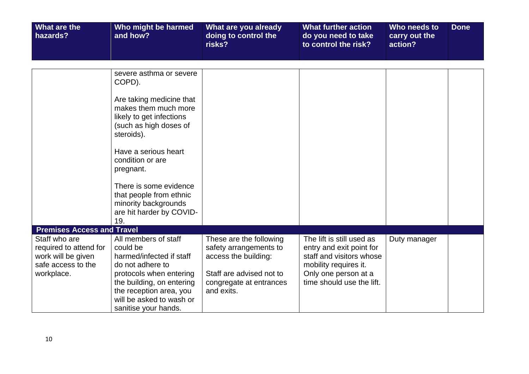| What are the<br>hazards?                                                                          | Who might be harmed<br>and how?                                                                                                                                                                 | What are you already<br>doing to control the<br>risks?                                                                                         | <b>What further action</b><br>do you need to take<br>to control the risk?                                                                                       | Who needs to<br>carry out the<br>action? | <b>Done</b> |
|---------------------------------------------------------------------------------------------------|-------------------------------------------------------------------------------------------------------------------------------------------------------------------------------------------------|------------------------------------------------------------------------------------------------------------------------------------------------|-----------------------------------------------------------------------------------------------------------------------------------------------------------------|------------------------------------------|-------------|
|                                                                                                   |                                                                                                                                                                                                 |                                                                                                                                                |                                                                                                                                                                 |                                          |             |
|                                                                                                   | severe asthma or severe<br>COPD).                                                                                                                                                               |                                                                                                                                                |                                                                                                                                                                 |                                          |             |
|                                                                                                   | Are taking medicine that<br>makes them much more<br>likely to get infections<br>(such as high doses of<br>steroids).                                                                            |                                                                                                                                                |                                                                                                                                                                 |                                          |             |
|                                                                                                   | Have a serious heart<br>condition or are<br>pregnant.                                                                                                                                           |                                                                                                                                                |                                                                                                                                                                 |                                          |             |
|                                                                                                   | There is some evidence<br>that people from ethnic<br>minority backgrounds<br>are hit harder by COVID-<br>19.                                                                                    |                                                                                                                                                |                                                                                                                                                                 |                                          |             |
| <b>Premises Access and Travel</b>                                                                 |                                                                                                                                                                                                 |                                                                                                                                                |                                                                                                                                                                 |                                          |             |
| Staff who are<br>required to attend for<br>work will be given<br>safe access to the<br>workplace. | All members of staff<br>could be<br>harmed/infected if staff<br>do not adhere to<br>protocols when entering<br>the building, on entering<br>the reception area, you<br>will be asked to wash or | These are the following<br>safety arrangements to<br>access the building:<br>Staff are advised not to<br>congregate at entrances<br>and exits. | The lift is still used as<br>entry and exit point for<br>staff and visitors whose<br>mobility requires it.<br>Only one person at a<br>time should use the lift. | Duty manager                             |             |
|                                                                                                   | sanitise your hands.                                                                                                                                                                            |                                                                                                                                                |                                                                                                                                                                 |                                          |             |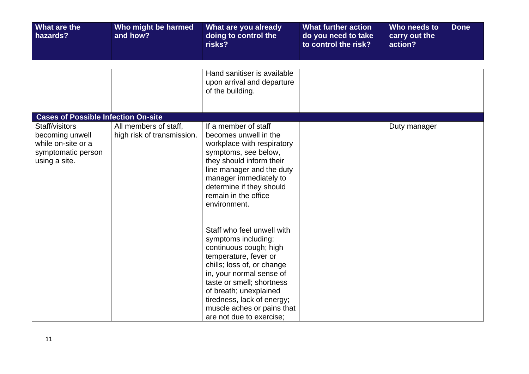| What are the<br>hazards?                                                                                                                     | Who might be harmed<br>and how?                     | What are you already<br>doing to control the<br>risks?                                                                                                                                                                                                                                                        | <b>What further action</b><br>do you need to take<br>to control the risk? | Who needs to<br>carry out the<br>action? | <b>Done</b> |
|----------------------------------------------------------------------------------------------------------------------------------------------|-----------------------------------------------------|---------------------------------------------------------------------------------------------------------------------------------------------------------------------------------------------------------------------------------------------------------------------------------------------------------------|---------------------------------------------------------------------------|------------------------------------------|-------------|
|                                                                                                                                              |                                                     | Hand sanitiser is available<br>upon arrival and departure<br>of the building.                                                                                                                                                                                                                                 |                                                                           |                                          |             |
| <b>Cases of Possible Infection On-site</b><br>Staff/visitors<br>becoming unwell<br>while on-site or a<br>symptomatic person<br>using a site. | All members of staff,<br>high risk of transmission. | If a member of staff<br>becomes unwell in the<br>workplace with respiratory<br>symptoms, see below,<br>they should inform their<br>line manager and the duty<br>manager immediately to<br>determine if they should<br>remain in the office<br>environment.                                                    |                                                                           | Duty manager                             |             |
|                                                                                                                                              |                                                     | Staff who feel unwell with<br>symptoms including:<br>continuous cough; high<br>temperature, fever or<br>chills; loss of, or change<br>in, your normal sense of<br>taste or smell; shortness<br>of breath; unexplained<br>tiredness, lack of energy;<br>muscle aches or pains that<br>are not due to exercise; |                                                                           |                                          |             |